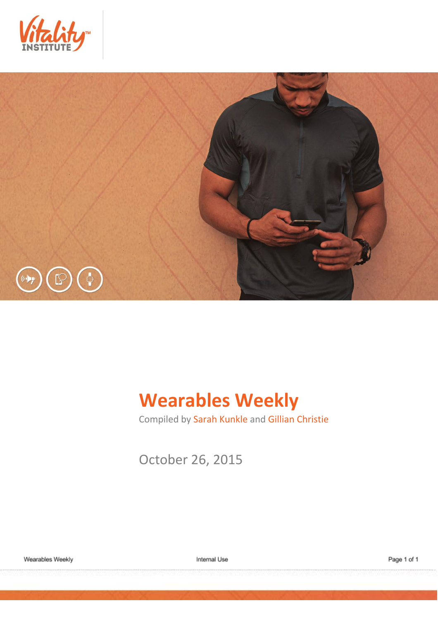



# **Wearables Weekly**

Compiled by Sarah Kunkle and Gillian Christie

October 26, 2015

Internal Use

Page 1 of 1